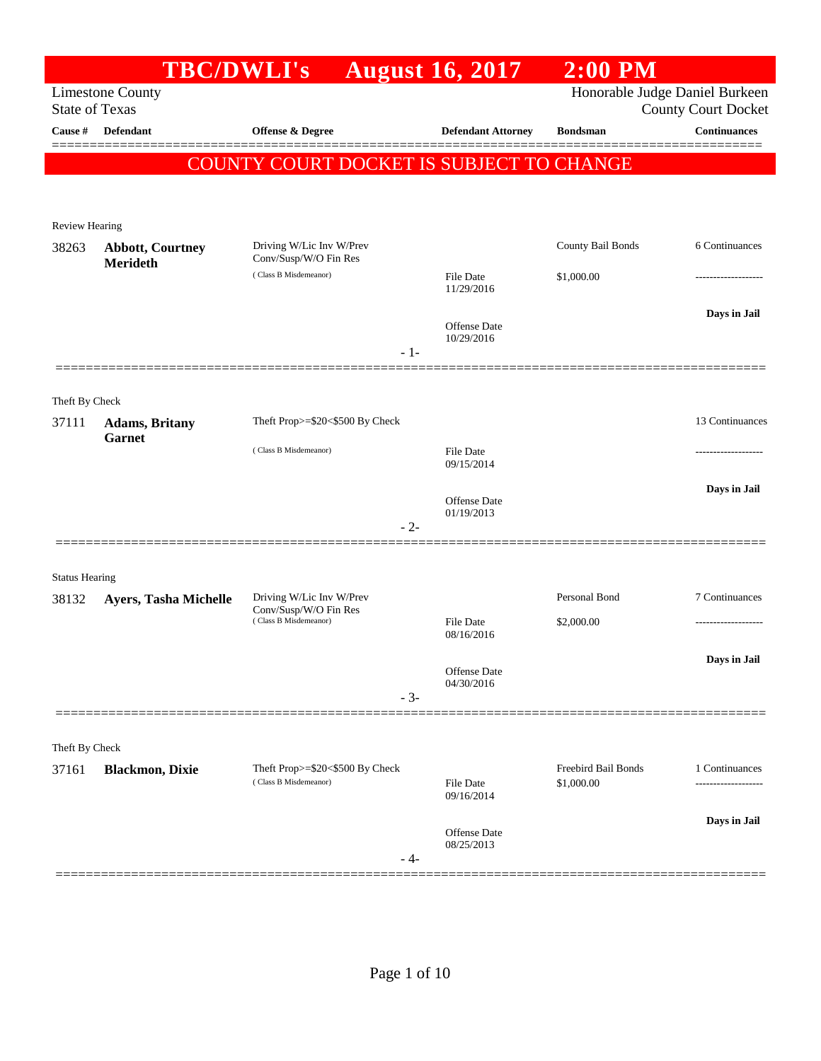|                         | <b>TBC/DWLI's</b>                       |                                                | <b>August 16, 2017</b>            | $2:00$ PM           |                                |
|-------------------------|-----------------------------------------|------------------------------------------------|-----------------------------------|---------------------|--------------------------------|
|                         | <b>Limestone County</b>                 |                                                |                                   |                     | Honorable Judge Daniel Burkeen |
| <b>State of Texas</b>   |                                         |                                                |                                   |                     | <b>County Court Docket</b>     |
| Cause #                 | Defendant                               | Offense & Degree                               | <b>Defendant Attorney</b>         | <b>Bondsman</b>     | <b>Continuances</b>            |
|                         |                                         | COUNTY COURT DOCKET IS SUBJECT TO CHANGE       |                                   |                     |                                |
|                         |                                         |                                                |                                   |                     |                                |
|                         |                                         |                                                |                                   |                     |                                |
| Review Hearing<br>38263 | <b>Abbott, Courtney</b>                 | Driving W/Lic Inv W/Prev                       |                                   | County Bail Bonds   | 6 Continuances                 |
|                         | <b>Merideth</b>                         | Conv/Susp/W/O Fin Res                          |                                   |                     |                                |
|                         |                                         | (Class B Misdemeanor)                          | File Date<br>11/29/2016           | \$1,000.00          |                                |
|                         |                                         |                                                |                                   |                     | Days in Jail                   |
|                         |                                         |                                                | <b>Offense</b> Date<br>10/29/2016 |                     |                                |
|                         |                                         | $-1-$                                          |                                   |                     |                                |
|                         |                                         |                                                |                                   |                     |                                |
| Theft By Check          |                                         |                                                |                                   |                     |                                |
| 37111                   | <b>Adams</b> , Britany<br><b>Garnet</b> | Theft Prop>=\$20<\$500 By Check                |                                   |                     | 13 Continuances                |
|                         |                                         | (Class B Misdemeanor)                          | File Date                         |                     |                                |
|                         |                                         |                                                | 09/15/2014                        |                     |                                |
|                         |                                         |                                                | Offense Date                      |                     | Days in Jail                   |
|                         |                                         | $-2-$                                          | 01/19/2013                        |                     |                                |
|                         |                                         |                                                |                                   |                     |                                |
| <b>Status Hearing</b>   |                                         |                                                |                                   |                     |                                |
| 38132                   | Ayers, Tasha Michelle                   | Driving W/Lic Inv W/Prev                       |                                   | Personal Bond       | 7 Continuances                 |
|                         |                                         | Conv/Susp/W/O Fin Res<br>(Class B Misdemeanor) | <b>File Date</b>                  | \$2,000.00          | .                              |
|                         |                                         |                                                | 08/16/2016                        |                     |                                |
|                         |                                         |                                                | Offense Date                      |                     | Days in Jail                   |
|                         |                                         | $-3-$                                          | 04/30/2016                        |                     |                                |
|                         |                                         |                                                |                                   |                     |                                |
| Theft By Check          |                                         |                                                |                                   |                     |                                |
| 37161                   | <b>Blackmon, Dixie</b>                  | Theft Prop>=\$20<\$500 By Check                |                                   | Freebird Bail Bonds | 1 Continuances                 |
|                         |                                         | (Class B Misdemeanor)                          | File Date<br>09/16/2014           | \$1,000.00          |                                |
|                         |                                         |                                                |                                   |                     | Days in Jail                   |
|                         |                                         |                                                | Offense Date<br>08/25/2013        |                     |                                |
|                         |                                         | - 4-                                           |                                   |                     |                                |
|                         |                                         |                                                |                                   |                     |                                |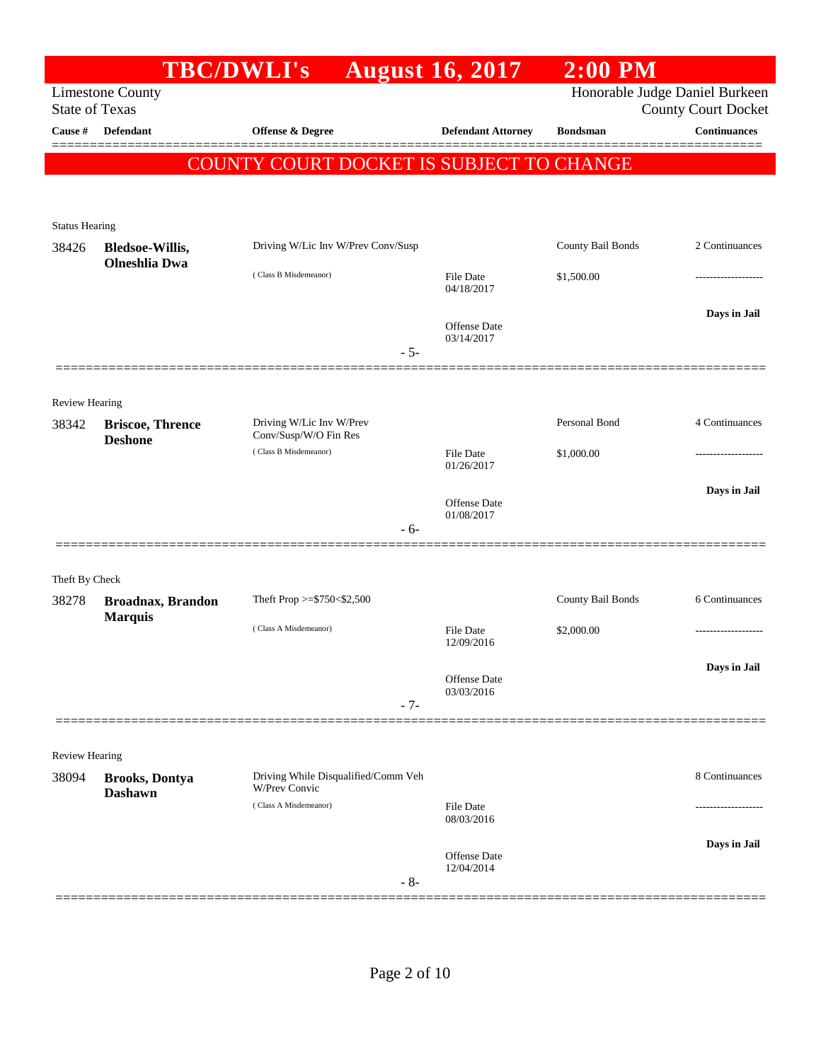|                                |                                                | <b>TBC/DWLI's</b>                        | <b>August 16, 2017</b>         | $2:00$ PM                      |                            |
|--------------------------------|------------------------------------------------|------------------------------------------|--------------------------------|--------------------------------|----------------------------|
|                                | <b>Limestone County</b>                        |                                          |                                | Honorable Judge Daniel Burkeen |                            |
| <b>State of Texas</b>          |                                                |                                          |                                |                                | <b>County Court Docket</b> |
| Cause #                        | Defendant                                      | <b>Offense &amp; Degree</b>              | <b>Defendant Attorney</b>      | <b>Bondsman</b>                | <b>Continuances</b>        |
|                                |                                                | COUNTY COURT DOCKET IS SUBJECT TO CHANGE |                                |                                |                            |
|                                |                                                |                                          |                                |                                |                            |
|                                |                                                |                                          |                                |                                |                            |
| <b>Status Hearing</b>          |                                                |                                          |                                |                                |                            |
| 38426                          | <b>Bledsoe-Willis,</b><br><b>Olneshlia</b> Dwa | Driving W/Lic Inv W/Prev Conv/Susp       |                                | County Bail Bonds              | 2 Continuances             |
|                                |                                                | (Class B Misdemeanor)                    | <b>File Date</b><br>04/18/2017 | \$1,500.00                     |                            |
|                                |                                                |                                          |                                |                                |                            |
|                                |                                                |                                          | <b>Offense Date</b>            |                                | Days in Jail               |
|                                |                                                | $-5-$                                    | 03/14/2017                     |                                |                            |
|                                |                                                |                                          |                                |                                |                            |
| <b>Review Hearing</b>          |                                                |                                          |                                |                                |                            |
| 38342                          | <b>Briscoe, Thrence</b>                        | Driving W/Lic Inv W/Prev                 |                                | Personal Bond                  | 4 Continuances             |
|                                | <b>Deshone</b>                                 | Conv/Susp/W/O Fin Res                    |                                |                                |                            |
|                                |                                                | (Class B Misdemeanor)                    | <b>File Date</b><br>01/26/2017 | \$1,000.00                     |                            |
|                                |                                                |                                          |                                |                                | Days in Jail               |
|                                |                                                |                                          | Offense Date<br>01/08/2017     |                                |                            |
|                                |                                                | - 6-                                     |                                |                                |                            |
|                                |                                                |                                          |                                |                                |                            |
| Theft By Check                 |                                                |                                          |                                |                                |                            |
| 38278                          | <b>Broadnax, Brandon</b>                       | Theft Prop >=\$750<\$2,500               |                                | County Bail Bonds              | 6 Continuances             |
|                                | <b>Marquis</b>                                 | (Class A Misdemeanor)                    | File Date                      | \$2,000.00                     |                            |
|                                |                                                |                                          | 12/09/2016                     |                                |                            |
|                                |                                                |                                          | Offense Date                   |                                | Days in Jail               |
|                                |                                                | $-7-$                                    | 03/03/2016                     |                                |                            |
|                                |                                                |                                          |                                |                                |                            |
|                                |                                                |                                          |                                |                                |                            |
| <b>Review Hearing</b><br>38094 |                                                | Driving While Disqualified/Comm Veh      |                                |                                | 8 Continuances             |
|                                | <b>Brooks, Dontya</b><br><b>Dashawn</b>        | <b>W/Prev Convic</b>                     |                                |                                |                            |
|                                |                                                | (Class A Misdemeanor)                    | <b>File Date</b><br>08/03/2016 |                                |                            |
|                                |                                                |                                          |                                |                                | Days in Jail               |
|                                |                                                |                                          | Offense Date                   |                                |                            |
|                                |                                                | $-8-$                                    | 12/04/2014                     |                                |                            |
|                                |                                                |                                          |                                |                                |                            |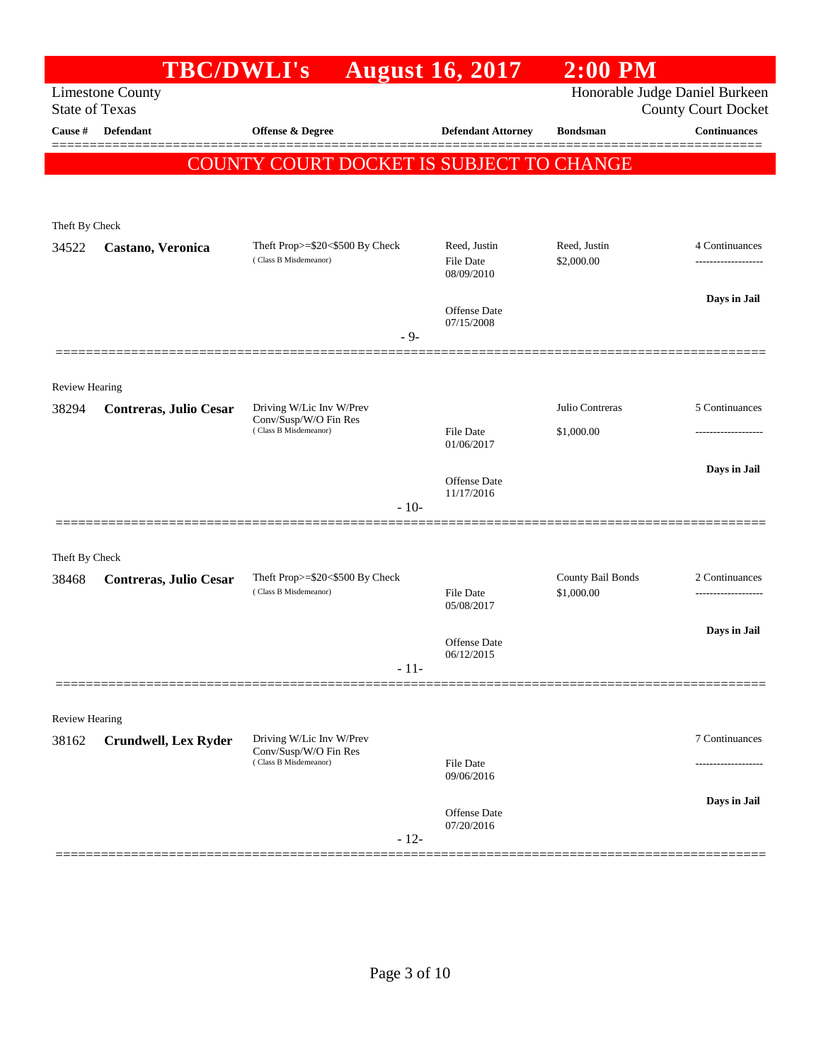|                       | <b>TBC/DWLI's</b>           |                                                                            | <b>August 16, 2017</b>                  | $2:00$ PM                       |                                                              |
|-----------------------|-----------------------------|----------------------------------------------------------------------------|-----------------------------------------|---------------------------------|--------------------------------------------------------------|
| <b>State of Texas</b> | <b>Limestone County</b>     |                                                                            |                                         |                                 | Honorable Judge Daniel Burkeen<br><b>County Court Docket</b> |
| Cause #               | <b>Defendant</b>            | Offense & Degree                                                           | <b>Defendant Attorney</b>               | <b>Bondsman</b>                 | <b>Continuances</b>                                          |
|                       |                             |                                                                            |                                         |                                 |                                                              |
|                       |                             | COUNTY COURT DOCKET IS SUBJECT TO CHANGE                                   |                                         |                                 |                                                              |
|                       |                             |                                                                            |                                         |                                 |                                                              |
| Theft By Check        |                             |                                                                            |                                         |                                 |                                                              |
| 34522                 | Castano, Veronica           | Theft Prop>=\$20<\$500 By Check<br>(Class B Misdemeanor)                   | Reed, Justin<br>File Date<br>08/09/2010 | Reed, Justin<br>\$2,000.00      | 4 Continuances                                               |
|                       |                             |                                                                            | Offense Date<br>07/15/2008              |                                 | Days in Jail                                                 |
|                       |                             | $-9-$                                                                      |                                         |                                 |                                                              |
| <b>Review Hearing</b> |                             |                                                                            |                                         |                                 |                                                              |
| 38294                 | Contreras, Julio Cesar      | Driving W/Lic Inv W/Prev                                                   |                                         | Julio Contreras                 | 5 Continuances                                               |
|                       |                             | Conv/Susp/W/O Fin Res<br>(Class B Misdemeanor)                             | <b>File Date</b><br>01/06/2017          | \$1,000.00                      |                                                              |
|                       |                             |                                                                            | Offense Date                            |                                 | Days in Jail                                                 |
|                       |                             | $-10-$                                                                     | 11/17/2016                              |                                 |                                                              |
|                       |                             |                                                                            |                                         |                                 |                                                              |
| Theft By Check        |                             |                                                                            |                                         |                                 |                                                              |
| 38468                 | Contreras, Julio Cesar      | Theft Prop>=\$20<\$500 By Check<br>(Class B Misdemeanor)                   | <b>File Date</b>                        | County Bail Bonds<br>\$1,000.00 | 2 Continuances                                               |
|                       |                             |                                                                            | 05/08/2017                              |                                 |                                                              |
|                       |                             |                                                                            | Offense Date<br>06/12/2015              |                                 | Days in Jail                                                 |
|                       |                             | $-11-$                                                                     |                                         |                                 |                                                              |
|                       |                             |                                                                            |                                         |                                 |                                                              |
| Review Hearing        |                             |                                                                            |                                         |                                 |                                                              |
| 38162                 | <b>Crundwell, Lex Ryder</b> | Driving W/Lic Inv W/Prev<br>Conv/Susp/W/O Fin Res<br>(Class B Misdemeanor) | <b>File Date</b>                        |                                 | 7 Continuances                                               |
|                       |                             |                                                                            | 09/06/2016                              |                                 |                                                              |
|                       |                             |                                                                            | Offense Date                            |                                 | Days in Jail                                                 |
|                       |                             | $-12-$                                                                     | 07/20/2016                              |                                 |                                                              |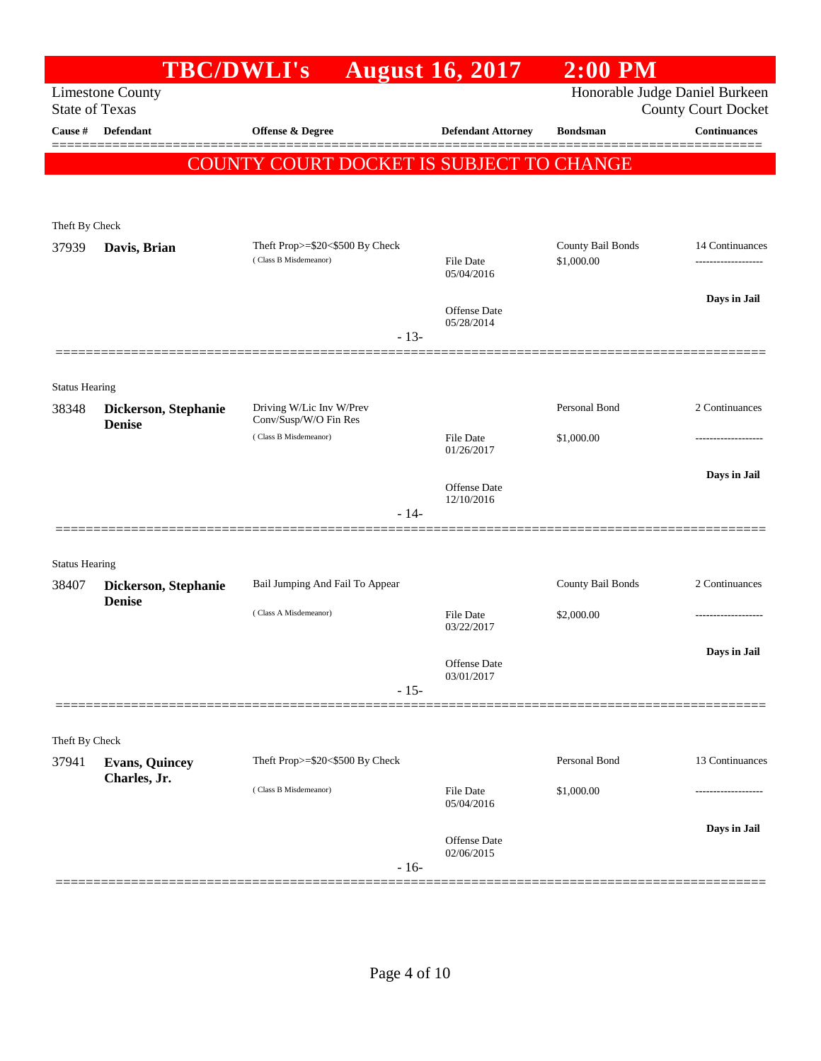|                                | <b>TBC/DWLI's</b>                     |                                                   | <b>August 16, 2017</b>         | $2:00$ PM                      |                            |
|--------------------------------|---------------------------------------|---------------------------------------------------|--------------------------------|--------------------------------|----------------------------|
| <b>State of Texas</b>          | <b>Limestone County</b>               |                                                   |                                | Honorable Judge Daniel Burkeen | <b>County Court Docket</b> |
| Cause #                        | <b>Defendant</b>                      | Offense & Degree                                  | <b>Defendant Attorney</b>      | <b>Bondsman</b>                | <b>Continuances</b>        |
|                                |                                       | COUNTY COURT DOCKET IS SUBJECT TO CHANGE          |                                |                                |                            |
|                                |                                       |                                                   |                                |                                |                            |
|                                |                                       |                                                   |                                |                                |                            |
| Theft By Check<br>37939        | Davis, Brian                          | Theft Prop>=\$20<\$500 By Check                   |                                | County Bail Bonds              | 14 Continuances            |
|                                |                                       | (Class B Misdemeanor)                             | <b>File Date</b><br>05/04/2016 | \$1,000.00                     | ------------------         |
|                                |                                       |                                                   |                                |                                | Days in Jail               |
|                                |                                       |                                                   | Offense Date<br>05/28/2014     |                                |                            |
|                                |                                       | $-13-$                                            |                                |                                |                            |
|                                |                                       |                                                   |                                |                                |                            |
| <b>Status Hearing</b>          |                                       |                                                   |                                |                                |                            |
| 38348                          | Dickerson, Stephanie<br><b>Denise</b> | Driving W/Lic Inv W/Prev<br>Conv/Susp/W/O Fin Res |                                | Personal Bond                  | 2 Continuances             |
|                                |                                       | (Class B Misdemeanor)                             | <b>File Date</b><br>01/26/2017 | \$1,000.00                     | ---------------            |
|                                |                                       |                                                   |                                |                                | Days in Jail               |
|                                |                                       |                                                   | Offense Date<br>12/10/2016     |                                |                            |
|                                |                                       | $-14-$                                            |                                |                                |                            |
|                                |                                       |                                                   |                                |                                |                            |
| <b>Status Hearing</b><br>38407 | Dickerson, Stephanie                  | Bail Jumping And Fail To Appear                   |                                | County Bail Bonds              | 2 Continuances             |
|                                | <b>Denise</b>                         | (Class A Misdemeanor)                             | <b>File Date</b>               | \$2,000.00                     | .                          |
|                                |                                       |                                                   | 03/22/2017                     |                                |                            |
|                                |                                       |                                                   | Offense Date                   |                                | Days in Jail               |
|                                |                                       | $-15-$                                            | 03/01/2017                     |                                |                            |
|                                |                                       |                                                   |                                |                                |                            |
| Theft By Check                 |                                       |                                                   |                                |                                |                            |
| 37941                          | <b>Evans, Quincey</b>                 | Theft Prop>=\$20<\$500 By Check                   |                                | Personal Bond                  | 13 Continuances            |
|                                | Charles, Jr.                          | (Class B Misdemeanor)                             | <b>File Date</b>               | \$1,000.00                     |                            |
|                                |                                       |                                                   | 05/04/2016                     |                                |                            |
|                                |                                       |                                                   | Offense Date                   |                                | Days in Jail               |
|                                |                                       | $-16-$                                            | 02/06/2015                     |                                |                            |
|                                |                                       |                                                   |                                |                                |                            |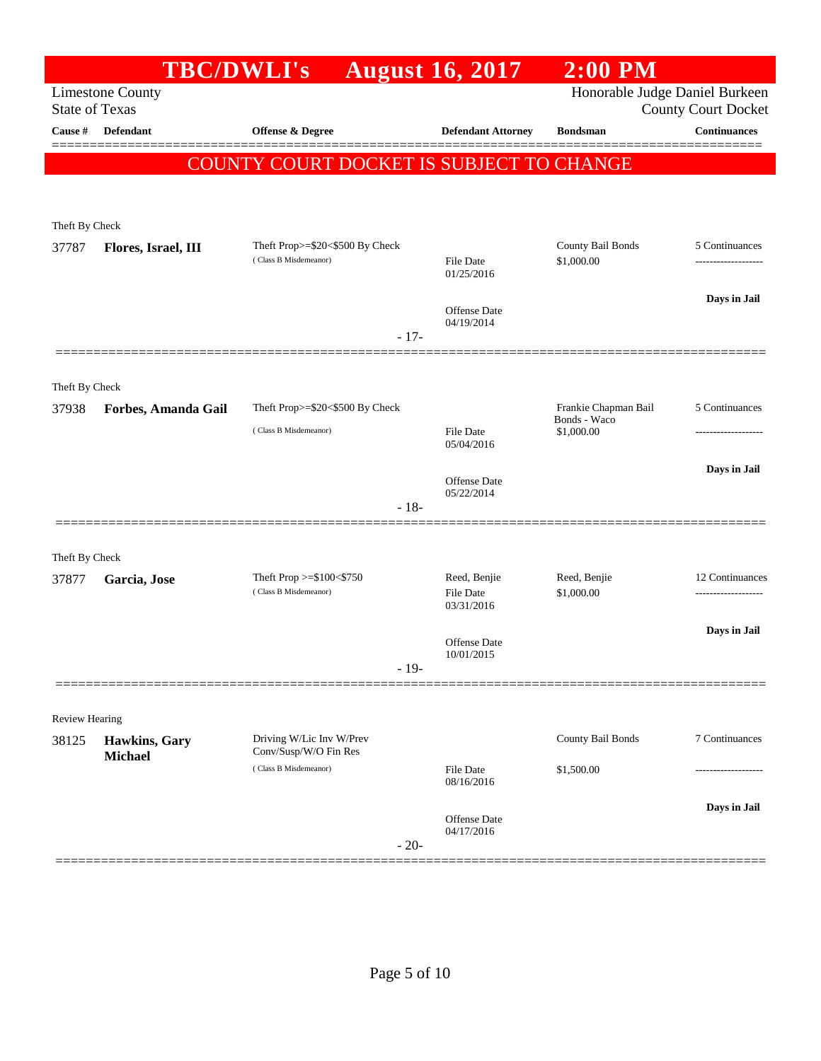|                         | <b>TBC/DWLI's</b>               |                                                          | <b>August 16, 2017</b>         | $2:00$ PM                       |                                     |
|-------------------------|---------------------------------|----------------------------------------------------------|--------------------------------|---------------------------------|-------------------------------------|
| <b>State of Texas</b>   | <b>Limestone County</b>         |                                                          |                                | Honorable Judge Daniel Burkeen  | County Court Docket                 |
| Cause #                 | Defendant                       | Offense & Degree                                         | <b>Defendant Attorney</b>      | <b>Bondsman</b>                 | <b>Continuances</b>                 |
|                         |                                 | COUNTY COURT DOCKET IS SUBJECT TO CHANGE                 |                                |                                 |                                     |
|                         |                                 |                                                          |                                |                                 |                                     |
| Theft By Check          |                                 |                                                          |                                |                                 |                                     |
| 37787                   | Flores, Israel, III             | Theft Prop>=\$20<\$500 By Check<br>(Class B Misdemeanor) | <b>File Date</b>               | County Bail Bonds<br>\$1,000.00 | 5 Continuances<br>----------------- |
|                         |                                 |                                                          | 01/25/2016                     |                                 |                                     |
|                         |                                 |                                                          | Offense Date                   |                                 | Days in Jail                        |
|                         |                                 | $-17-$                                                   | 04/19/2014                     |                                 |                                     |
|                         |                                 |                                                          |                                |                                 |                                     |
| Theft By Check<br>37938 | Forbes, Amanda Gail             | Theft Prop>=\$20<\$500 By Check                          |                                | Frankie Chapman Bail            | 5 Continuances                      |
|                         |                                 | (Class B Misdemeanor)                                    | <b>File Date</b>               | Bonds - Waco<br>\$1,000.00      |                                     |
|                         |                                 |                                                          | 05/04/2016                     |                                 | Days in Jail                        |
|                         |                                 |                                                          | Offense Date<br>05/22/2014     |                                 |                                     |
|                         |                                 | $-18-$                                                   |                                |                                 |                                     |
| Theft By Check          |                                 |                                                          |                                |                                 |                                     |
| 37877                   | Garcia, Jose                    | Theft Prop $>=\$100<\$750$<br>(Class B Misdemeanor)      | Reed, Benjie                   | Reed, Benjie                    | 12 Continuances                     |
|                         |                                 |                                                          | <b>File Date</b><br>03/31/2016 | \$1,000.00                      |                                     |
|                         |                                 |                                                          | Offense Date                   |                                 | Days in Jail                        |
|                         |                                 | $-19-$                                                   | 10/01/2015                     |                                 |                                     |
|                         |                                 |                                                          |                                |                                 |                                     |
| <b>Review Hearing</b>   |                                 |                                                          |                                |                                 |                                     |
| 38125                   | Hawkins, Gary<br><b>Michael</b> | Driving W/Lic Inv W/Prev<br>Conv/Susp/W/O Fin Res        |                                | County Bail Bonds               | 7 Continuances                      |
|                         |                                 | (Class B Misdemeanor)                                    | <b>File Date</b><br>08/16/2016 | \$1,500.00                      | ---------------                     |
|                         |                                 |                                                          | Offense Date                   |                                 | Days in Jail                        |
|                         |                                 | $-20-$                                                   | 04/17/2016                     |                                 |                                     |
|                         |                                 |                                                          |                                |                                 |                                     |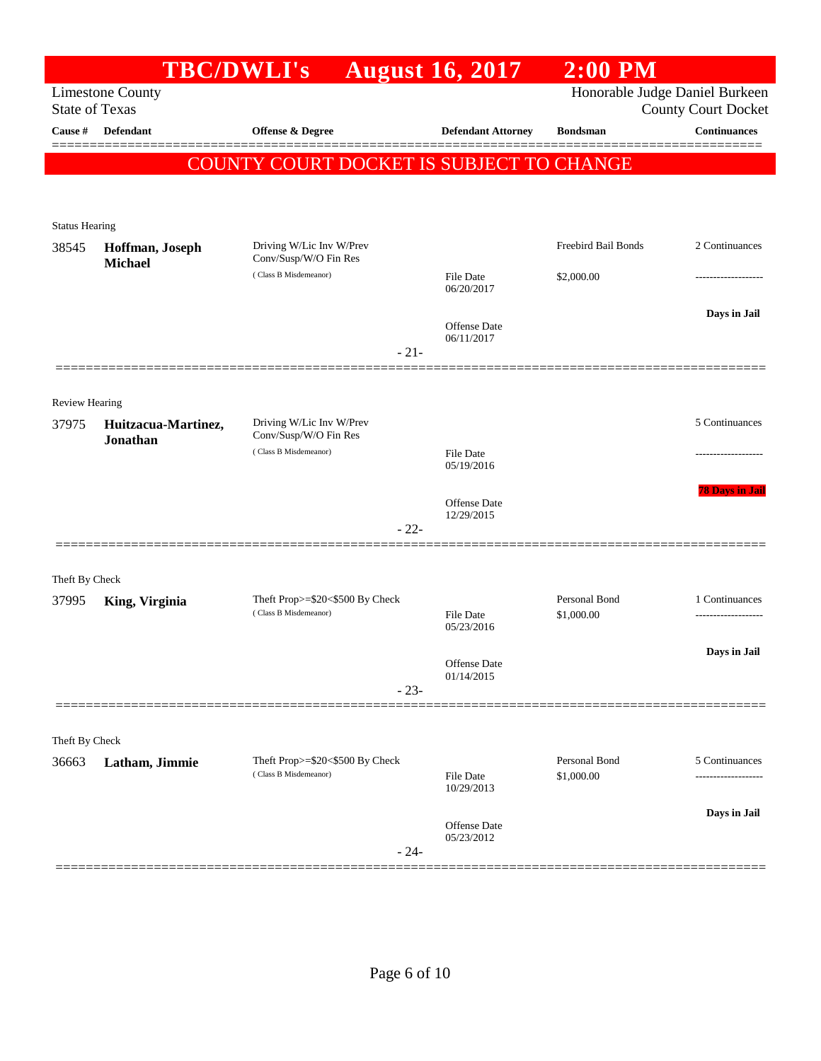|                       |                                   | <b>TBC/DWLI's</b>                                        | <b>August 16, 2017</b>         | $2:00$ PM                   |                                           |
|-----------------------|-----------------------------------|----------------------------------------------------------|--------------------------------|-----------------------------|-------------------------------------------|
|                       | <b>Limestone County</b>           |                                                          |                                |                             | Honorable Judge Daniel Burkeen            |
| <b>State of Texas</b> |                                   |                                                          |                                |                             | <b>County Court Docket</b>                |
| Cause #               | <b>Defendant</b>                  | <b>Offense &amp; Degree</b>                              | <b>Defendant Attorney</b>      | <b>Bondsman</b>             | <b>Continuances</b><br><u> 2002 - 200</u> |
|                       |                                   | <b>COUNTY COURT DOCKET IS SUBJECT TO CHANGE</b>          |                                |                             |                                           |
|                       |                                   |                                                          |                                |                             |                                           |
|                       |                                   |                                                          |                                |                             |                                           |
| <b>Status Hearing</b> |                                   |                                                          |                                | Freebird Bail Bonds         | 2 Continuances                            |
| 38545                 | Hoffman, Joseph<br><b>Michael</b> | Driving W/Lic Inv W/Prev<br>Conv/Susp/W/O Fin Res        |                                |                             |                                           |
|                       |                                   | (Class B Misdemeanor)                                    | <b>File Date</b><br>06/20/2017 | \$2,000.00                  |                                           |
|                       |                                   |                                                          |                                |                             | Days in Jail                              |
|                       |                                   |                                                          | Offense Date<br>06/11/2017     |                             |                                           |
|                       |                                   | $-21-$                                                   |                                |                             |                                           |
|                       |                                   |                                                          |                                |                             |                                           |
| <b>Review Hearing</b> |                                   |                                                          |                                |                             |                                           |
| 37975                 | Huitzacua-Martinez,               | Driving W/Lic Inv W/Prev                                 |                                |                             | 5 Continuances                            |
|                       | Jonathan                          | Conv/Susp/W/O Fin Res<br>(Class B Misdemeanor)           | <b>File Date</b>               |                             |                                           |
|                       |                                   |                                                          | 05/19/2016                     |                             |                                           |
|                       |                                   |                                                          |                                |                             | <b>78 Days in Jai</b>                     |
|                       |                                   |                                                          | Offense Date<br>12/29/2015     |                             |                                           |
|                       |                                   | $-22-$                                                   |                                |                             |                                           |
|                       |                                   |                                                          |                                |                             |                                           |
| Theft By Check        |                                   |                                                          |                                |                             |                                           |
| 37995                 | King, Virginia                    | Theft Prop>=\$20<\$500 By Check<br>(Class B Misdemeanor) | <b>File Date</b>               | Personal Bond<br>\$1,000.00 | 1 Continuances<br>-------------------     |
|                       |                                   |                                                          | 05/23/2016                     |                             |                                           |
|                       |                                   |                                                          | Offense Date                   |                             | Days in Jail                              |
|                       |                                   | $-23-$                                                   | 01/14/2015                     |                             |                                           |
|                       |                                   |                                                          |                                |                             |                                           |
|                       |                                   |                                                          |                                |                             |                                           |
| Theft By Check        |                                   |                                                          |                                |                             |                                           |
| 36663                 | Latham, Jimmie                    | Theft Prop>=\$20<\$500 By Check<br>(Class B Misdemeanor) | <b>File Date</b>               | Personal Bond<br>\$1,000.00 | 5 Continuances                            |
|                       |                                   |                                                          | 10/29/2013                     |                             |                                           |
|                       |                                   |                                                          | Offense Date                   |                             | Days in Jail                              |
|                       |                                   | $-24-$                                                   | 05/23/2012                     |                             |                                           |
|                       |                                   |                                                          |                                |                             |                                           |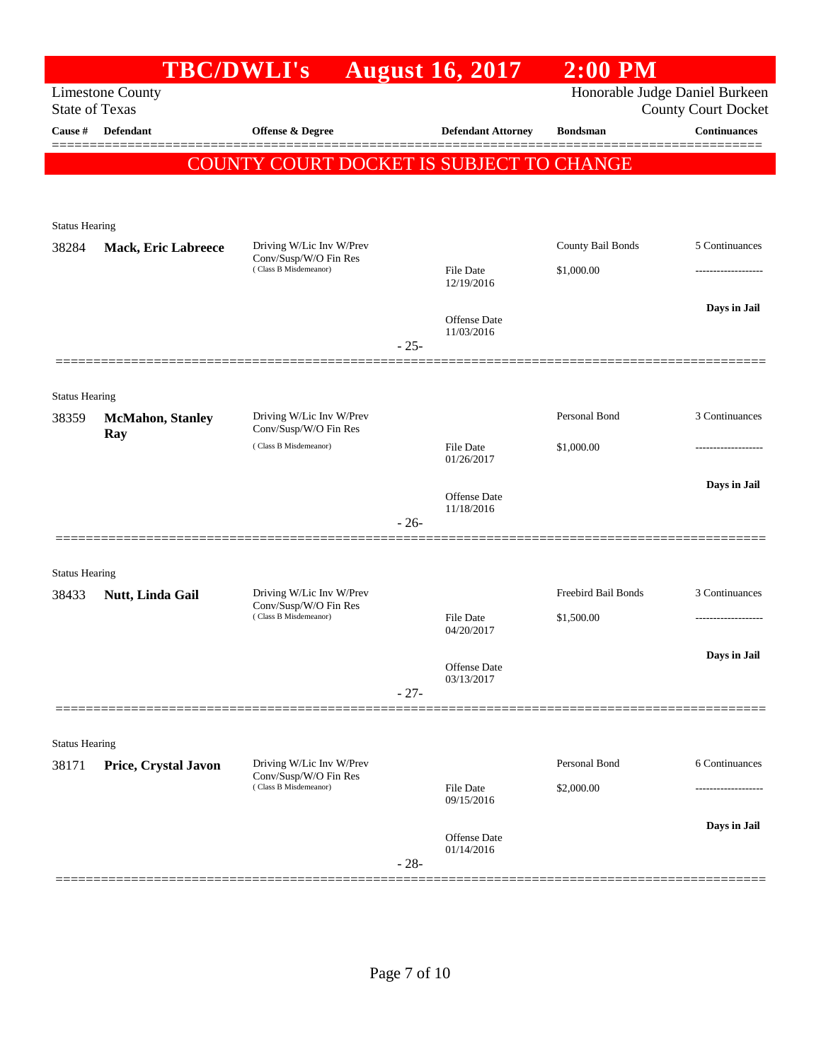|                                |                                 | <b>TBC/DWLI's</b>                                 |        | <b>August 16, 2017</b>            | $2:00$ PM           |                                |
|--------------------------------|---------------------------------|---------------------------------------------------|--------|-----------------------------------|---------------------|--------------------------------|
|                                | <b>Limestone County</b>         |                                                   |        |                                   |                     | Honorable Judge Daniel Burkeen |
| <b>State of Texas</b>          |                                 |                                                   |        |                                   |                     | <b>County Court Docket</b>     |
| Cause #                        | Defendant                       | <b>Offense &amp; Degree</b>                       |        | <b>Defendant Attorney</b>         | <b>Bondsman</b>     | <b>Continuances</b>            |
|                                |                                 | COUNTY COURT DOCKET IS SUBJECT TO CHANGE          |        |                                   |                     |                                |
|                                |                                 |                                                   |        |                                   |                     |                                |
|                                |                                 |                                                   |        |                                   |                     |                                |
| <b>Status Hearing</b><br>38284 | <b>Mack, Eric Labreece</b>      | Driving W/Lic Inv W/Prev                          |        |                                   | County Bail Bonds   | 5 Continuances                 |
|                                |                                 | Conv/Susp/W/O Fin Res<br>(Class B Misdemeanor)    |        | <b>File Date</b>                  | \$1,000.00          |                                |
|                                |                                 |                                                   |        | 12/19/2016                        |                     |                                |
|                                |                                 |                                                   |        |                                   |                     | Days in Jail                   |
|                                |                                 |                                                   |        | <b>Offense</b> Date<br>11/03/2016 |                     |                                |
|                                |                                 |                                                   | $-25-$ |                                   |                     |                                |
|                                |                                 |                                                   |        |                                   |                     |                                |
| <b>Status Hearing</b>          |                                 |                                                   |        |                                   |                     |                                |
| 38359                          | <b>McMahon</b> , Stanley<br>Ray | Driving W/Lic Inv W/Prev<br>Conv/Susp/W/O Fin Res |        |                                   | Personal Bond       | 3 Continuances                 |
|                                |                                 | (Class B Misdemeanor)                             |        | File Date<br>01/26/2017           | \$1,000.00          | -------------------            |
|                                |                                 |                                                   |        |                                   |                     | Days in Jail                   |
|                                |                                 |                                                   |        | <b>Offense</b> Date<br>11/18/2016 |                     |                                |
|                                |                                 |                                                   | $-26-$ |                                   |                     |                                |
|                                |                                 |                                                   |        |                                   |                     |                                |
| <b>Status Hearing</b>          |                                 |                                                   |        |                                   |                     |                                |
| 38433                          | Nutt, Linda Gail                | Driving W/Lic Inv W/Prev                          |        |                                   | Freebird Bail Bonds | 3 Continuances                 |
|                                |                                 | Conv/Susp/W/O Fin Res<br>(Class B Misdemeanor)    |        | <b>File Date</b>                  | \$1,500.00          |                                |
|                                |                                 |                                                   |        | 04/20/2017                        |                     |                                |
|                                |                                 |                                                   |        | Offense Date                      |                     | Days in Jail                   |
|                                |                                 |                                                   | $-27-$ | 03/13/2017                        |                     |                                |
|                                |                                 |                                                   |        |                                   |                     |                                |
| <b>Status Hearing</b>          |                                 |                                                   |        |                                   |                     |                                |
| 38171                          | Price, Crystal Javon            | Driving W/Lic Inv W/Prev                          |        |                                   | Personal Bond       | 6 Continuances                 |
|                                |                                 | Conv/Susp/W/O Fin Res<br>(Class B Misdemeanor)    |        | File Date                         | \$2,000.00          |                                |
|                                |                                 |                                                   |        | 09/15/2016                        |                     |                                |
|                                |                                 |                                                   |        | Offense Date                      |                     | Days in Jail                   |
|                                |                                 |                                                   | $-28-$ | 01/14/2016                        |                     |                                |
|                                |                                 |                                                   |        |                                   |                     |                                |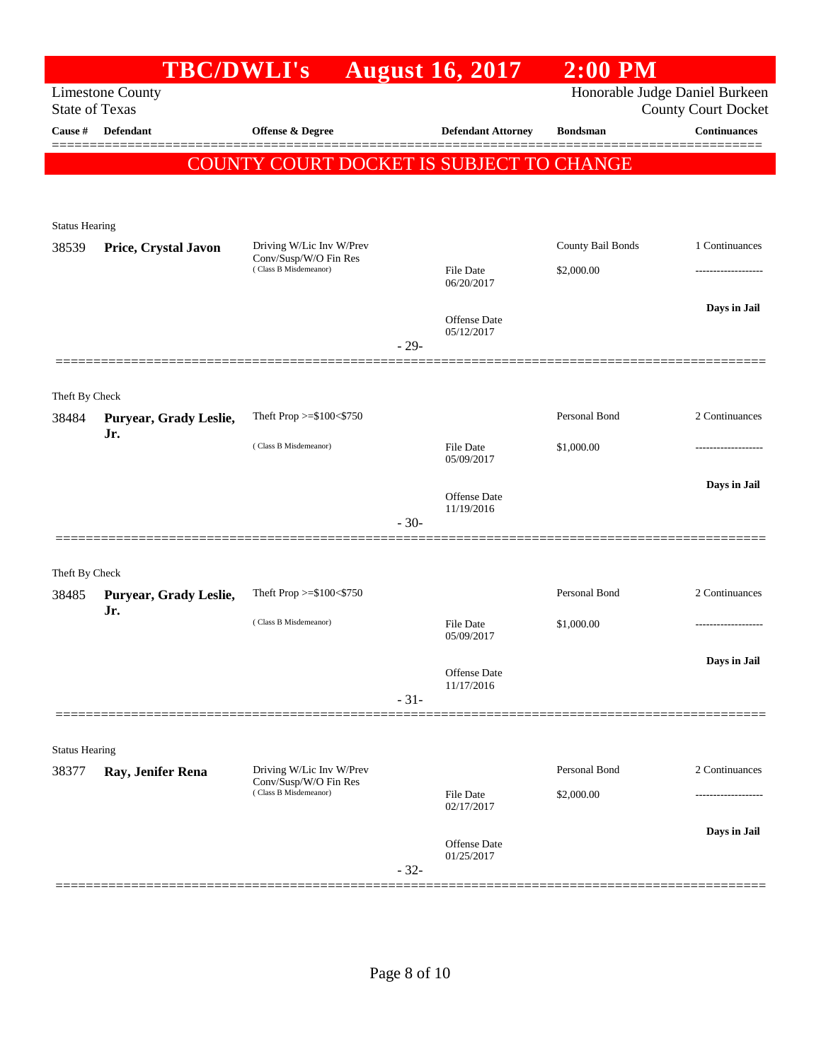|                                | <b>TBC/DWLI's</b>             |                                                   |        | <b>August 16, 2017</b>                   | $2:00$ PM         |                                                              |
|--------------------------------|-------------------------------|---------------------------------------------------|--------|------------------------------------------|-------------------|--------------------------------------------------------------|
| <b>State of Texas</b>          | <b>Limestone County</b>       |                                                   |        |                                          |                   | Honorable Judge Daniel Burkeen<br><b>County Court Docket</b> |
| Cause #                        | <b>Defendant</b>              | <b>Offense &amp; Degree</b>                       |        | <b>Defendant Attorney</b>                | <b>Bondsman</b>   | <b>Continuances</b>                                          |
|                                |                               |                                                   |        | COUNTY COURT DOCKET IS SUBJECT TO CHANGE |                   |                                                              |
|                                |                               |                                                   |        |                                          |                   |                                                              |
| <b>Status Hearing</b>          |                               |                                                   |        |                                          |                   |                                                              |
| 38539                          | Price, Crystal Javon          | Driving W/Lic Inv W/Prev<br>Conv/Susp/W/O Fin Res |        |                                          | County Bail Bonds | 1 Continuances                                               |
|                                |                               | (Class B Misdemeanor)                             |        | File Date<br>06/20/2017                  | \$2,000.00        |                                                              |
|                                |                               |                                                   |        | Offense Date<br>05/12/2017               |                   | Days in Jail                                                 |
|                                |                               |                                                   | $-29-$ |                                          |                   |                                                              |
| Theft By Check                 |                               |                                                   |        |                                          |                   |                                                              |
| 38484                          | Puryear, Grady Leslie,        | Theft Prop >=\$100<\$750                          |        |                                          | Personal Bond     | 2 Continuances                                               |
|                                | Jr.                           | (Class B Misdemeanor)                             |        | File Date<br>05/09/2017                  | \$1,000.00        | -----------------                                            |
|                                |                               |                                                   |        | Offense Date<br>11/19/2016               |                   | Days in Jail                                                 |
|                                |                               |                                                   | $-30-$ |                                          |                   |                                                              |
| Theft By Check                 |                               |                                                   |        |                                          |                   |                                                              |
| 38485                          | Puryear, Grady Leslie,<br>Jr. | Theft Prop >=\$100<\$750                          |        |                                          | Personal Bond     | 2 Continuances                                               |
|                                |                               | (Class B Misdemeanor)                             |        | File Date<br>05/09/2017                  | \$1,000.00        |                                                              |
|                                |                               |                                                   |        | Offense Date                             |                   | Days in Jail                                                 |
|                                |                               |                                                   | $-31-$ | 11/17/2016                               |                   |                                                              |
|                                |                               |                                                   |        |                                          |                   |                                                              |
| <b>Status Hearing</b><br>38377 | Ray, Jenifer Rena             | Driving W/Lic Inv W/Prev                          |        |                                          | Personal Bond     | 2 Continuances                                               |
|                                |                               | Conv/Susp/W/O Fin Res<br>(Class B Misdemeanor)    |        | File Date<br>02/17/2017                  | \$2,000.00        |                                                              |
|                                |                               |                                                   |        | <b>Offense</b> Date<br>01/25/2017        |                   | Days in Jail                                                 |
|                                |                               |                                                   | $-32-$ |                                          |                   |                                                              |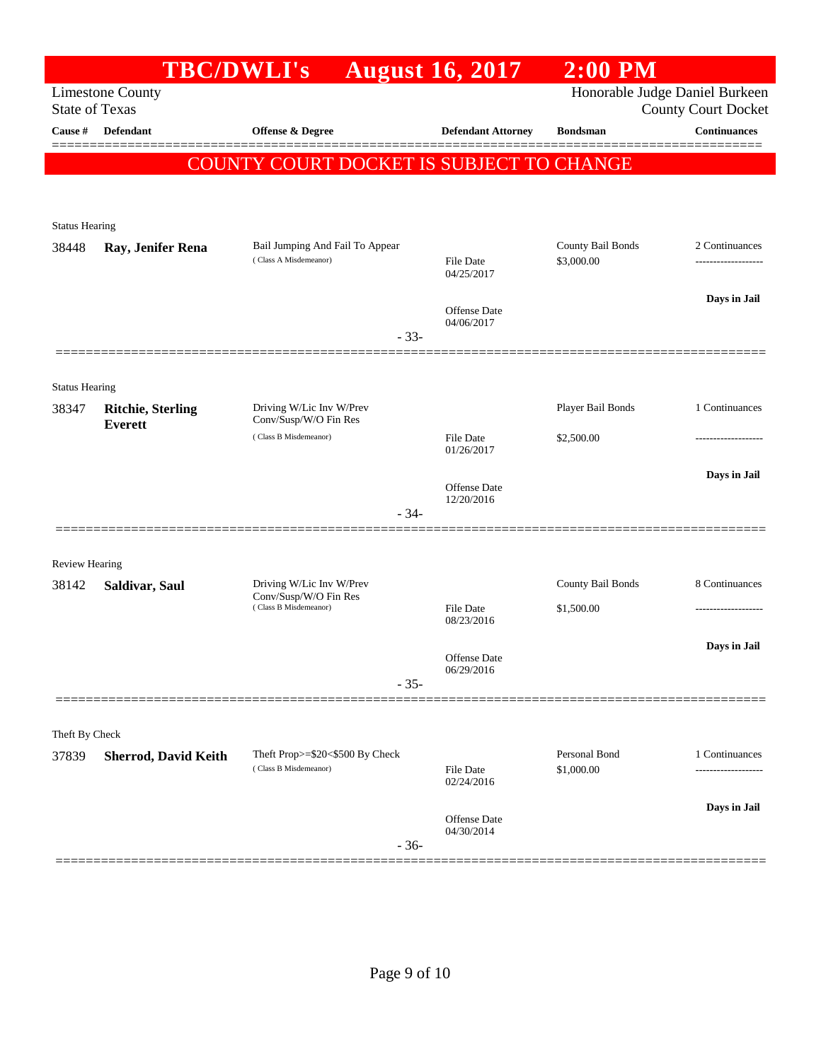| Honorable Judge Daniel Burkeen<br><b>Limestone County</b><br><b>State of Texas</b><br><b>County Court Docket</b><br><b>Continuances</b><br>Defendant<br>Offense & Degree<br><b>Defendant Attorney</b><br><b>Cause</b> #<br><b>Bondsman</b><br><b>COUNTY COURT DOCKET IS SUBJECT TO CHANGE</b><br><b>Status Hearing</b><br>County Bail Bonds<br>Bail Jumping And Fail To Appear<br>38448<br>Ray, Jenifer Rena<br>(Class A Misdemeanor)<br>\$3,000.00<br>File Date<br>04/25/2017<br>Days in Jail<br>Offense Date<br>04/06/2017<br>$-33-$<br><b>Status Hearing</b><br>Player Bail Bonds<br>Driving W/Lic Inv W/Prev<br>38347<br><b>Ritchie, Sterling</b><br>Conv/Susp/W/O Fin Res<br><b>Everett</b><br>(Class B Misdemeanor)<br>\$2,500.00<br><b>File Date</b><br>01/26/2017<br>Days in Jail<br>Offense Date<br>12/20/2016<br>$-34-$<br><b>Review Hearing</b><br>Driving W/Lic Inv W/Prev<br>County Bail Bonds<br>38142<br>Saldivar, Saul<br>Conv/Susp/W/O Fin Res<br>(Class B Misdemeanor)<br><b>File Date</b><br>\$1,500.00<br>08/23/2016<br>Days in Jail<br>Offense Date<br>06/29/2016<br>$-35-$<br>Theft By Check<br>Personal Bond<br>Theft Prop>=\$20<\$500 By Check<br>Sherrod, David Keith<br>37839<br>(Class B Misdemeanor)<br>\$1,000.00<br>File Date<br>------------------<br>02/24/2016<br>Offense Date<br>04/30/2014<br>$-36-$ | <b>TBC/DWLI's</b> | <b>August 16, 2017</b> | $2:00$ PM |                     |
|-----------------------------------------------------------------------------------------------------------------------------------------------------------------------------------------------------------------------------------------------------------------------------------------------------------------------------------------------------------------------------------------------------------------------------------------------------------------------------------------------------------------------------------------------------------------------------------------------------------------------------------------------------------------------------------------------------------------------------------------------------------------------------------------------------------------------------------------------------------------------------------------------------------------------------------------------------------------------------------------------------------------------------------------------------------------------------------------------------------------------------------------------------------------------------------------------------------------------------------------------------------------------------------------------------------------------------------------|-------------------|------------------------|-----------|---------------------|
|                                                                                                                                                                                                                                                                                                                                                                                                                                                                                                                                                                                                                                                                                                                                                                                                                                                                                                                                                                                                                                                                                                                                                                                                                                                                                                                                         |                   |                        |           |                     |
|                                                                                                                                                                                                                                                                                                                                                                                                                                                                                                                                                                                                                                                                                                                                                                                                                                                                                                                                                                                                                                                                                                                                                                                                                                                                                                                                         |                   |                        |           |                     |
|                                                                                                                                                                                                                                                                                                                                                                                                                                                                                                                                                                                                                                                                                                                                                                                                                                                                                                                                                                                                                                                                                                                                                                                                                                                                                                                                         |                   |                        |           |                     |
|                                                                                                                                                                                                                                                                                                                                                                                                                                                                                                                                                                                                                                                                                                                                                                                                                                                                                                                                                                                                                                                                                                                                                                                                                                                                                                                                         |                   |                        |           |                     |
|                                                                                                                                                                                                                                                                                                                                                                                                                                                                                                                                                                                                                                                                                                                                                                                                                                                                                                                                                                                                                                                                                                                                                                                                                                                                                                                                         |                   |                        |           |                     |
|                                                                                                                                                                                                                                                                                                                                                                                                                                                                                                                                                                                                                                                                                                                                                                                                                                                                                                                                                                                                                                                                                                                                                                                                                                                                                                                                         |                   |                        |           |                     |
|                                                                                                                                                                                                                                                                                                                                                                                                                                                                                                                                                                                                                                                                                                                                                                                                                                                                                                                                                                                                                                                                                                                                                                                                                                                                                                                                         |                   |                        |           | 2 Continuances      |
|                                                                                                                                                                                                                                                                                                                                                                                                                                                                                                                                                                                                                                                                                                                                                                                                                                                                                                                                                                                                                                                                                                                                                                                                                                                                                                                                         |                   |                        |           | ------------------- |
|                                                                                                                                                                                                                                                                                                                                                                                                                                                                                                                                                                                                                                                                                                                                                                                                                                                                                                                                                                                                                                                                                                                                                                                                                                                                                                                                         |                   |                        |           |                     |
|                                                                                                                                                                                                                                                                                                                                                                                                                                                                                                                                                                                                                                                                                                                                                                                                                                                                                                                                                                                                                                                                                                                                                                                                                                                                                                                                         |                   |                        |           |                     |
|                                                                                                                                                                                                                                                                                                                                                                                                                                                                                                                                                                                                                                                                                                                                                                                                                                                                                                                                                                                                                                                                                                                                                                                                                                                                                                                                         |                   |                        |           |                     |
|                                                                                                                                                                                                                                                                                                                                                                                                                                                                                                                                                                                                                                                                                                                                                                                                                                                                                                                                                                                                                                                                                                                                                                                                                                                                                                                                         |                   |                        |           |                     |
|                                                                                                                                                                                                                                                                                                                                                                                                                                                                                                                                                                                                                                                                                                                                                                                                                                                                                                                                                                                                                                                                                                                                                                                                                                                                                                                                         |                   |                        |           |                     |
|                                                                                                                                                                                                                                                                                                                                                                                                                                                                                                                                                                                                                                                                                                                                                                                                                                                                                                                                                                                                                                                                                                                                                                                                                                                                                                                                         |                   |                        |           | 1 Continuances      |
|                                                                                                                                                                                                                                                                                                                                                                                                                                                                                                                                                                                                                                                                                                                                                                                                                                                                                                                                                                                                                                                                                                                                                                                                                                                                                                                                         |                   |                        |           |                     |
|                                                                                                                                                                                                                                                                                                                                                                                                                                                                                                                                                                                                                                                                                                                                                                                                                                                                                                                                                                                                                                                                                                                                                                                                                                                                                                                                         |                   |                        |           |                     |
|                                                                                                                                                                                                                                                                                                                                                                                                                                                                                                                                                                                                                                                                                                                                                                                                                                                                                                                                                                                                                                                                                                                                                                                                                                                                                                                                         |                   |                        |           |                     |
|                                                                                                                                                                                                                                                                                                                                                                                                                                                                                                                                                                                                                                                                                                                                                                                                                                                                                                                                                                                                                                                                                                                                                                                                                                                                                                                                         |                   |                        |           |                     |
|                                                                                                                                                                                                                                                                                                                                                                                                                                                                                                                                                                                                                                                                                                                                                                                                                                                                                                                                                                                                                                                                                                                                                                                                                                                                                                                                         |                   |                        |           |                     |
|                                                                                                                                                                                                                                                                                                                                                                                                                                                                                                                                                                                                                                                                                                                                                                                                                                                                                                                                                                                                                                                                                                                                                                                                                                                                                                                                         |                   |                        |           |                     |
|                                                                                                                                                                                                                                                                                                                                                                                                                                                                                                                                                                                                                                                                                                                                                                                                                                                                                                                                                                                                                                                                                                                                                                                                                                                                                                                                         |                   |                        |           | 8 Continuances      |
|                                                                                                                                                                                                                                                                                                                                                                                                                                                                                                                                                                                                                                                                                                                                                                                                                                                                                                                                                                                                                                                                                                                                                                                                                                                                                                                                         |                   |                        |           |                     |
|                                                                                                                                                                                                                                                                                                                                                                                                                                                                                                                                                                                                                                                                                                                                                                                                                                                                                                                                                                                                                                                                                                                                                                                                                                                                                                                                         |                   |                        |           |                     |
|                                                                                                                                                                                                                                                                                                                                                                                                                                                                                                                                                                                                                                                                                                                                                                                                                                                                                                                                                                                                                                                                                                                                                                                                                                                                                                                                         |                   |                        |           |                     |
|                                                                                                                                                                                                                                                                                                                                                                                                                                                                                                                                                                                                                                                                                                                                                                                                                                                                                                                                                                                                                                                                                                                                                                                                                                                                                                                                         |                   |                        |           |                     |
|                                                                                                                                                                                                                                                                                                                                                                                                                                                                                                                                                                                                                                                                                                                                                                                                                                                                                                                                                                                                                                                                                                                                                                                                                                                                                                                                         |                   |                        |           |                     |
|                                                                                                                                                                                                                                                                                                                                                                                                                                                                                                                                                                                                                                                                                                                                                                                                                                                                                                                                                                                                                                                                                                                                                                                                                                                                                                                                         |                   |                        |           |                     |
|                                                                                                                                                                                                                                                                                                                                                                                                                                                                                                                                                                                                                                                                                                                                                                                                                                                                                                                                                                                                                                                                                                                                                                                                                                                                                                                                         |                   |                        |           | 1 Continuances      |
|                                                                                                                                                                                                                                                                                                                                                                                                                                                                                                                                                                                                                                                                                                                                                                                                                                                                                                                                                                                                                                                                                                                                                                                                                                                                                                                                         |                   |                        |           |                     |
|                                                                                                                                                                                                                                                                                                                                                                                                                                                                                                                                                                                                                                                                                                                                                                                                                                                                                                                                                                                                                                                                                                                                                                                                                                                                                                                                         |                   |                        |           | Days in Jail        |
|                                                                                                                                                                                                                                                                                                                                                                                                                                                                                                                                                                                                                                                                                                                                                                                                                                                                                                                                                                                                                                                                                                                                                                                                                                                                                                                                         |                   |                        |           |                     |
|                                                                                                                                                                                                                                                                                                                                                                                                                                                                                                                                                                                                                                                                                                                                                                                                                                                                                                                                                                                                                                                                                                                                                                                                                                                                                                                                         |                   |                        |           |                     |